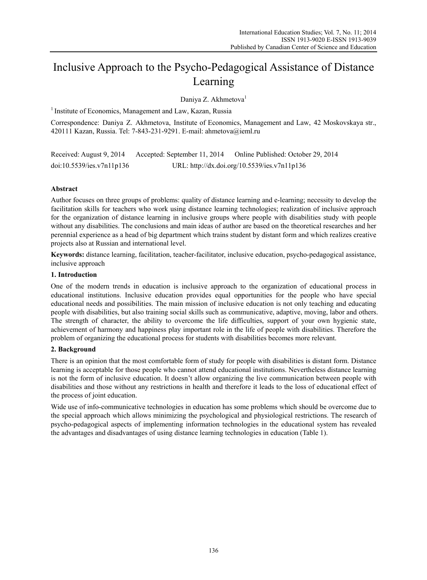# Inclusive Approach to the Psycho-Pedagogical Assistance of Distance Learning

Daniya Z. Akhmetova<sup>1</sup>

<sup>1</sup> Institute of Economics, Management and Law, Kazan, Russia

Correspondence: Daniya Z. Akhmetova, Institute of Economics, Management and Law, 42 Moskovskaya str., 420111 Kazan, Russia. Tel: 7-843-231-9291. E-mail: ahmetova@ieml.ru

Received: August 9, 2014 Accepted: September 11, 2014 Online Published: October 29, 2014 doi:10.5539/ies.v7n11p136 URL: http://dx.doi.org/10.5539/ies.v7n11p136

# **Abstract**

Author focuses on three groups of problems: quality of distance learning and e-learning; necessity to develop the facilitation skills for teachers who work using distance learning technologies; realization of inclusive approach for the organization of distance learning in inclusive groups where people with disabilities study with people without any disabilities. The conclusions and main ideas of author are based on the theoretical researches and her perennial experience as a head of big department which trains student by distant form and which realizes creative projects also at Russian and international level.

**Keywords:** distance learning, facilitation, teacher-facilitator, inclusive education, psycho-pedagogical assistance, inclusive approach

## **1. Introduction**

One of the modern trends in education is inclusive approach to the organization of educational process in educational institutions. Inclusive education provides equal opportunities for the people who have special educational needs and possibilities. The main mission of inclusive education is not only teaching and educating people with disabilities, but also training social skills such as communicative, adaptive, moving, labor and others. The strength of character, the ability to overcome the life difficulties, support of your own hygienic state, achievement of harmony and happiness play important role in the life of people with disabilities. Therefore the problem of organizing the educational process for students with disabilities becomes more relevant.

# **2. Background**

There is an opinion that the most comfortable form of study for people with disabilities is distant form. Distance learning is acceptable for those people who cannot attend educational institutions. Nevertheless distance learning is not the form of inclusive education. It doesn't allow organizing the live communication between people with disabilities and those without any restrictions in health and therefore it leads to the loss of educational effect of the process of joint education.

Wide use of info-communicative technologies in education has some problems which should be overcome due to the special approach which allows minimizing the psychological and physiological restrictions. The research of psycho-pedagogical aspects of implementing information technologies in the educational system has revealed the advantages and disadvantages of using distance learning technologies in education (Table 1).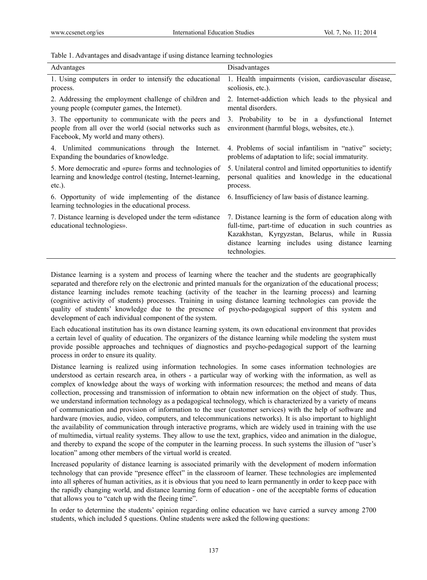Table 1. Advantages and disadvantage if using distance learning technologies

| Advantages                                                                                                                                              | Disadvantages                                                                                                                                                                                                                                 |
|---------------------------------------------------------------------------------------------------------------------------------------------------------|-----------------------------------------------------------------------------------------------------------------------------------------------------------------------------------------------------------------------------------------------|
| 1. Using computers in order to intensify the educational                                                                                                | 1. Health impairments (vision, cardiovascular disease,                                                                                                                                                                                        |
| process.                                                                                                                                                | scoliosis, etc.).                                                                                                                                                                                                                             |
| 2. Addressing the employment challenge of children and                                                                                                  | 2. Internet-addiction which leads to the physical and                                                                                                                                                                                         |
| young people (computer games, the Internet).                                                                                                            | mental disorders.                                                                                                                                                                                                                             |
| 3. The opportunity to communicate with the peers and<br>people from all over the world (social networks such as<br>Facebook, My world and many others). | 3. Probability to be in a dysfunctional Internet<br>environment (harmful blogs, websites, etc.).                                                                                                                                              |
| 4. Unlimited communications through the Internet.                                                                                                       | 4. Problems of social infantilism in "native" society;                                                                                                                                                                                        |
| Expanding the boundaries of knowledge.                                                                                                                  | problems of adaptation to life; social immaturity.                                                                                                                                                                                            |
| 5. More democratic and «pure» forms and technologies of                                                                                                 | 5. Unilateral control and limited opportunities to identify                                                                                                                                                                                   |
| learning and knowledge control (testing, Internet-learning,                                                                                             | personal qualities and knowledge in the educational                                                                                                                                                                                           |
| $etc.$ ).                                                                                                                                               | process.                                                                                                                                                                                                                                      |
| 6. Opportunity of wide implementing of the distance<br>learning technologies in the educational process.                                                | 6. Insufficiency of law basis of distance learning.                                                                                                                                                                                           |
| 7. Distance learning is developed under the term «distance<br>educational technologies».                                                                | 7. Distance learning is the form of education along with<br>full-time, part-time of education in such countries as<br>Kazakhstan, Kyrgyzstan, Belarus, while in Russia<br>distance learning includes using distance learning<br>technologies. |

Distance learning is a system and process of learning where the teacher and the students are geographically separated and therefore rely on the electronic and printed manuals for the organization of the educational process; distance learning includes remote teaching (activity of the teacher in the learning process) and learning (cognitive activity of students) processes. Training in using distance learning technologies can provide the quality of students' knowledge due to the presence of psycho-pedagogical support of this system and development of each individual component of the system.

Each educational institution has its own distance learning system, its own educational environment that provides a certain level of quality of education. The organizers of the distance learning while modeling the system must provide possible approaches and techniques of diagnostics and psycho-pedagogical support of the learning process in order to ensure its quality.

Distance learning is realized using information technologies. In some cases information technologies are understood as certain research area, in others - a particular way of working with the information, as well as complex of knowledge about the ways of working with information resources; the method and means of data collection, processing and transmission of information to obtain new information on the object of study. Thus, we understand information technology as a pedagogical technology, which is characterized by a variety of means of communication and provision of information to the user (customer services) with the help of software and hardware (movies, audio, video, computers, and telecommunications networks). It is also important to highlight the availability of communication through interactive programs, which are widely used in training with the use of multimedia, virtual reality systems. They allow to use the text, graphics, video and animation in the dialogue, and thereby to expand the scope of the computer in the learning process. In such systems the illusion of "user's location" among other members of the virtual world is created.

Increased popularity of distance learning is associated primarily with the development of modern information technology that can provide "presence effect" in the classroom of learner. These technologies are implemented into all spheres of human activities, as it is obvious that you need to learn permanently in order to keep pace with the rapidly changing world, and distance learning form of education - one of the acceptable forms of education that allows you to "catch up with the fleeing time".

In order to determine the students' opinion regarding online education we have carried a survey among 2700 students, which included 5 questions. Online students were asked the following questions: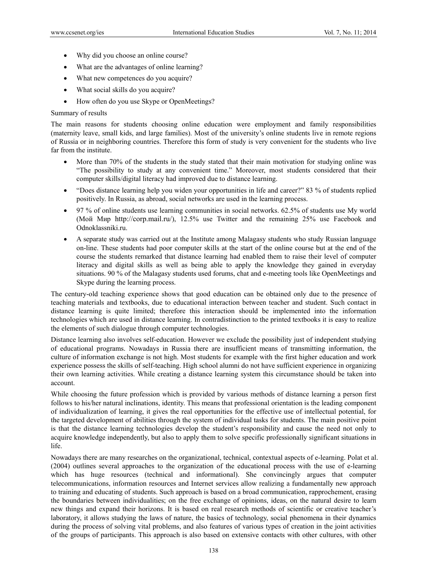- Why did you choose an online course?
- What are the advantages of online learning?
- What new competences do you acquire?
- What social skills do you acquire?
- How often do you use Skype or OpenMeetings?

## Summary of results

The main reasons for students choosing online education were employment and family responsibilities (maternity leave, small kids, and large families). Most of the university's online students live in remote regions of Russia or in neighboring countries. Therefore this form of study is very convenient for the students who live far from the institute.

- More than 70% of the students in the study stated that their main motivation for studying online was "The possibility to study at any convenient time." Moreover, most students considered that their computer skills/digital literacy had improved due to distance learning.
- "Does distance learning help you widen your opportunities in life and career?" 83 % of students replied positively. In Russia, as abroad, social networks are used in the learning process.
- 97 % of online students use learning communities in social networks. 62.5% of students use My world (Moй Мир http://corp.mail.ru/), 12.5% use Twitter and the remaining 25% use Facebook and Odnoklassniki.ru.
- A separate study was carried out at the Institute among Malagasy students who study Russian language on-line. These students had poor computer skills at the start of the online course but at the end of the course the students remarked that distance learning had enabled them to raise their level of computer literacy and digital skills as well as being able to apply the knowledge they gained in everyday situations. 90 % of the Malagasy students used forums, chat and e-meeting tools like OpenMeetings and Skype during the learning process.

The century-old teaching experience shows that good education can be obtained only due to the presence of teaching materials and textbooks, due to educational interaction between teacher and student. Such contact in distance learning is quite limited; therefore this interaction should be implemented into the information technologies which are used in distance learning. In contradistinction to the printed textbooks it is easy to realize the elements of such dialogue through computer technologies.

Distance learning also involves self-education. However we exclude the possibility just of independent studying of educational programs. Nowadays in Russia there are insufficient means of transmitting information, the culture of information exchange is not high. Most students for example with the first higher education and work experience possess the skills of self-teaching. High school alumni do not have sufficient experience in organizing their own learning activities. While creating a distance learning system this circumstance should be taken into account.

While choosing the future profession which is provided by various methods of distance learning a person first follows to his/her natural inclinations, identity. This means that professional orientation is the leading component of individualization of learning, it gives the real opportunities for the effective use of intellectual potential, for the targeted development of abilities through the system of individual tasks for students. The main positive point is that the distance learning technologies develop the student's responsibility and cause the need not only to acquire knowledge independently, but also to apply them to solve specific professionally significant situations in life.

Nowadays there are many researches on the organizational, technical, contextual aspects of e-learning. Polat et al. (2004) outlines several approaches to the organization of the educational process with the use of e-learning which has huge resources (technical and informational). She convincingly argues that computer telecommunications, information resources and Internet services allow realizing a fundamentally new approach to training and educating of students. Such approach is based on a broad communication, rapprochement, erasing the boundaries between individualities; on the free exchange of opinions, ideas, on the natural desire to learn new things and expand their horizons. It is based on real research methods of scientific or creative teacher's laboratory, it allows studying the laws of nature, the basics of technology, social phenomena in their dynamics during the process of solving vital problems, and also features of various types of creation in the joint activities of the groups of participants. This approach is also based on extensive contacts with other cultures, with other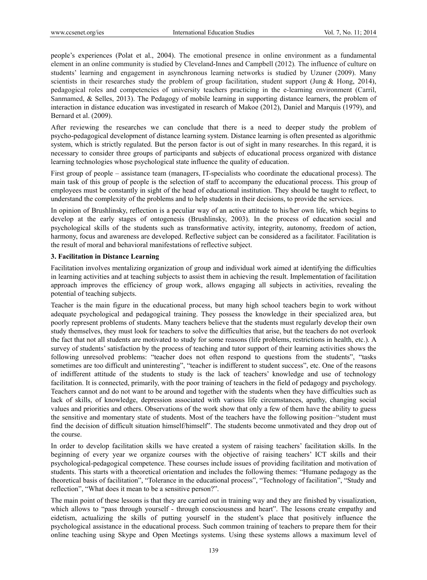people's experiences (Polat et al., 2004). The emotional presence in online environment as a fundamental element in an online community is studied by Cleveland-Innes and Campbell (2012)*.* The influence of culture on students' learning and engagement in asynchronous learning networks is studied by Uzuner (2009). Many scientists in their researches study the problem of group facilitation, student support (Jung & Hong, 2014), pedagogical roles and competencies of university teachers practicing in the e-learning environment (Carril, Sanmamed, & Selles, 2013). The Pedagogy of mobile learning in supporting distance learners, the problem of interaction in distance education was investigated in research of Makoe (2012), Daniel and Marquis (1979), and Bernard et al. (2009).

After reviewing the researches we can conclude that there is a need to deeper study the problem of psycho-pedagogical development of distance learning system. Distance learning is often presented as algorithmic system, which is strictly regulated. But the person factor is out of sight in many researches. In this regard, it is necessary to consider three groups of participants and subjects of educational process organized with distance learning technologies whose psychological state influence the quality of education.

First group of people – assistance team (managers, IT-specialists who coordinate the educational process). The main task of this group of people is the selection of staff to accompany the educational process. This group of employees must be constantly in sight of the head of educational institution. They should be taught to reflect, to understand the complexity of the problems and to help students in their decisions, to provide the services.

In opinion of Brushlinsky, reflection is a peculiar way of an active attitude to his/her own life, which begins to develop at the early stages of ontogenesis (Brushlinsky, 2003). In the process of education social and psychological skills of the students such as transformative activity, integrity, autonomy, freedom of action, harmony, focus and awareness are developed. Reflective subject can be considered as a facilitator. Facilitation is the result of moral and behavioral manifestations of reflective subject.

## **3. Facilitation in Distance Learning**

Facilitation involves mentalizing organization of group and individual work aimed at identifying the difficulties in learning activities and at teaching subjects to assist them in achieving the result. Implementation of facilitation approach improves the efficiency of group work, allows engaging all subjects in activities, revealing the potential of teaching subjects.

Teacher is the main figure in the educational process, but many high school teachers begin to work without adequate psychological and pedagogical training. They possess the knowledge in their specialized area, but poorly represent problems of students. Many teachers believe that the students must regularly develop their own study themselves, they must look for teachers to solve the difficulties that arise, but the teachers do not overlook the fact that not all students are motivated to study for some reasons (life problems, restrictions in health, etc.). A survey of students' satisfaction by the process of teaching and tutor support of their learning activities shows the following unresolved problems: "teacher does not often respond to questions from the students", "tasks sometimes are too difficult and uninteresting", "teacher is indifferent to student success", etc. One of the reasons of indifferent attitude of the students to study is the lack of teachers' knowledge and use of technology facilitation. It is connected, primarily, with the poor training of teachers in the field of pedagogy and psychology. Teachers cannot and do not want to be around and together with the students when they have difficulties such as lack of skills, of knowledge, depression associated with various life circumstances, apathy, changing social values and priorities and others. Observations of the work show that only a few of them have the ability to guess the sensitive and momentary state of students. Most of the teachers have the following position–"student must find the decision of difficult situation himself/himself". The students become unmotivated and they drop out of the course.

In order to develop facilitation skills we have created a system of raising teachers' facilitation skills. In the beginning of every year we organize courses with the objective of raising teachers' ICT skills and their psychological-pedagogical competence. These courses include issues of providing facilitation and motivation of students. This starts with a theoretical orientation and includes the following themes: "Humane pedagogy as the theoretical basis of facilitation", "Tolerance in the educational process", "Technology of facilitation", "Study and reflection", "What does it mean to be a sensitive person?".

The main point of these lessons is that they are carried out in training way and they are finished by visualization, which allows to "pass through yourself - through consciousness and heart". The lessons create empathy and eidetism, actualizing the skills of putting yourself in the student's place that positively influence the psychological assistance in the educational process. Such common training of teachers to prepare them for their online teaching using Skype and Open Meetings systems. Using these systems allows a maximum level of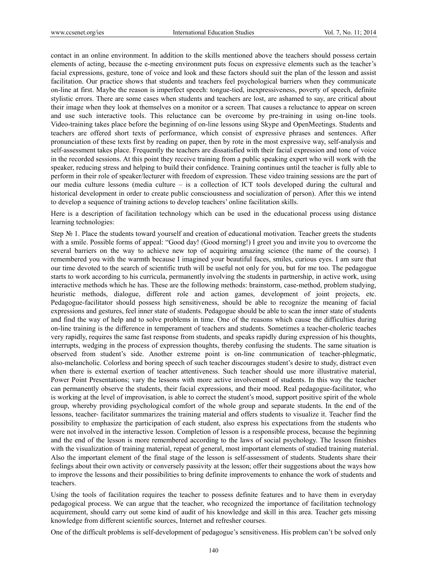contact in an online environment. In addition to the skills mentioned above the teachers should possess certain elements of acting, because the e-meeting environment puts focus on expressive elements such as the teacher's facial expressions, gesture, tone of voice and look and these factors should suit the plan of the lesson and assist facilitation. Our practice shows that students and teachers feel psychological barriers when they communicate on-line at first. Maybe the reason is imperfect speech: tongue-tied, inexpressiveness, poverty of speech, definite stylistic errors. There are some cases when students and teachers are lost, are ashamed to say, are critical about their image when they look at themselves on a monitor or a screen. That causes a reluctance to appear on screen and use such interactive tools. This reluctance can be overcome by pre-training in using on-line tools. Video-training takes place before the beginning of on-line lessons using Skype and OpenMeetings. Students and teachers are offered short texts of performance, which consist of expressive phrases and sentences. After pronunciation of these texts first by reading on paper, then by rote in the most expressive way, self-analysis and self-assessment takes place. Frequently the teachers are dissatisfied with their facial expression and tone of voice in the recorded sessions. At this point they receive training from a public speaking expert who will work with the speaker, reducing stress and helping to build their confidence. Training continues until the teacher is fully able to perform in their role of speaker/lecturer with freedom of expression. These video training sessions are the part of our media culture lessons (media culture – is a collection of ICT tools developed during the cultural and historical development in order to create public consciousness and socialization of person). After this we intend to develop a sequence of training actions to develop teachers' online facilitation skills.

Here is a description of facilitation technology which can be used in the educational process using distance learning technologies:

Step № 1. Place the students toward yourself and creation of educational motivation. Teacher greets the students with a smile. Possible forms of appeal: "Good day! (Good morning!) I greet you and invite you to overcome the several barriers on the way to achieve new top of acquiring amazing science (the name of the course). I remembered you with the warmth because I imagined your beautiful faces, smiles, curious eyes. I am sure that our time devoted to the search of scientific truth will be useful not only for you, but for me too. The pedagogue starts to work according to his curricula, permanently involving the students in partnership, in active work, using interactive methods which he has. These are the following methods: brainstorm, case-method, problem studying, heuristic methods, dialogue, different role and action games, development of joint projects, etc. Pedagogue-facilitator should possess high sensitiveness, should be able to recognize the meaning of facial expressions and gestures, feel inner state of students. Pedagogue should be able to scan the inner state of students and find the way of help and to solve problems in time. One of the reasons which cause the difficulties during on-line training is the difference in temperament of teachers and students. Sometimes a teacher-choleric teaches very rapidly, requires the same fast response from students, and speaks rapidly during expression of his thoughts, interrupts, wedging in the process of expression thoughts, thereby confusing the students. The same situation is observed from student's side. Another extreme point is on-line communication of teacher-phlegmatic, also-melancholic. Colorless and boring speech of such teacher discourages student's desire to study, distract even when there is external exertion of teacher attentiveness. Such teacher should use more illustrative material, Power Point Presentations; vary the lessons with more active involvement of students. In this way the teacher can permanently observe the students, their facial expressions, and their mood. Real pedagogue-facilitator, who is working at the level of improvisation, is able to correct the student's mood, support positive spirit of the whole group, whereby providing psychological comfort of the whole group and separate students. In the end of the lessons, teacher- facilitator summarizes the training material and offers students to visualize it. Teacher find the possibility to emphasize the participation of each student, also express his expectations from the students who were not involved in the interactive lesson. Completion of lesson is a responsible process, because the beginning and the end of the lesson is more remembered according to the laws of social psychology. The lesson finishes with the visualization of training material, repeat of general, most important elements of studied training material. Also the important element of the final stage of the lesson is self-assessment of students. Students share their feelings about their own activity or conversely passivity at the lesson; offer their suggestions about the ways how to improve the lessons and their possibilities to bring definite improvements to enhance the work of students and teachers.

Using the tools of facilitation requires the teacher to possess definite features and to have them in everyday pedagogical process. We can argue that the teacher, who recognized the importance of facilitation technology acquirement, should carry out some kind of audit of his knowledge and skill in this area. Teacher gets missing knowledge from different scientific sources, Internet and refresher courses.

One of the difficult problems is self-development of pedagogue's sensitiveness. His problem can't be solved only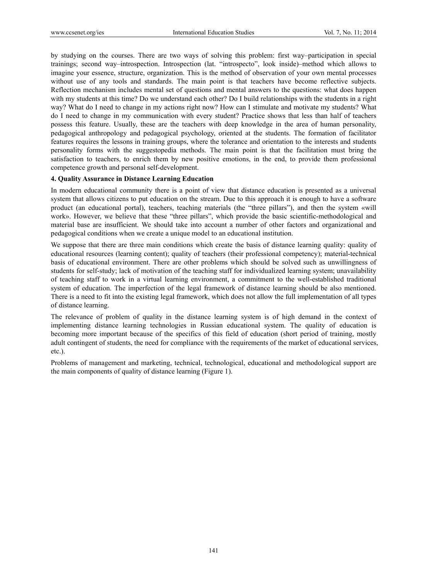by studying on the courses. There are two ways of solving this problem: first way–participation in special trainings; second way–introspection. Introspection (lat. "introspecto", look inside)–method which allows to imagine your essence, structure, organization. This is the method of observation of your own mental processes without use of any tools and standards. The main point is that teachers have become reflective subjects. Reflection mechanism includes mental set of questions and mental answers to the questions: what does happen with my students at this time? Do we understand each other? Do I build relationships with the students in a right way? What do I need to change in my actions right now? How can I stimulate and motivate my students? What do I need to change in my communication with every student? Practice shows that less than half of teachers possess this feature. Usually, these are the teachers with deep knowledge in the area of human personality, pedagogical anthropology and pedagogical psychology, oriented at the students. The formation of facilitator features requires the lessons in training groups, where the tolerance and orientation to the interests and students personality forms with the suggestopedia methods. The main point is that the facilitation must bring the satisfaction to teachers, to enrich them by new positive emotions, in the end, to provide them professional competence growth and personal self-development.

## **4. Quality Assurance in Distance Learning Education**

In modern educational community there is a point of view that distance education is presented as a universal system that allows citizens to put education on the stream. Due to this approach it is enough to have a software product (an educational portal), teachers, teaching materials (the "three pillars"), and then the system «will work». However, we believe that these "three pillars", which provide the basic scientific-methodological and material base are insufficient. We should take into account a number of other factors and organizational and pedagogical conditions when we create a unique model to an educational institution.

We suppose that there are three main conditions which create the basis of distance learning quality: quality of educational resources (learning content); quality of teachers (their professional competency); material-technical basis of educational environment. There are other problems which should be solved such as unwillingness of students for self-study; lack of motivation of the teaching staff for individualized learning system; unavailability of teaching staff to work in a virtual learning environment, a commitment to the well-established traditional system of education. The imperfection of the legal framework of distance learning should be also mentioned. There is a need to fit into the existing legal framework, which does not allow the full implementation of all types of distance learning.

The relevance of problem of quality in the distance learning system is of high demand in the context of implementing distance learning technologies in Russian educational system. The quality of education is becoming more important because of the specifics of this field of education (short period of training, mostly adult contingent of students, the need for compliance with the requirements of the market of educational services, etc.).

Problems of management and marketing, technical, technological, educational and methodological support are the main components of quality of distance learning (Figure 1).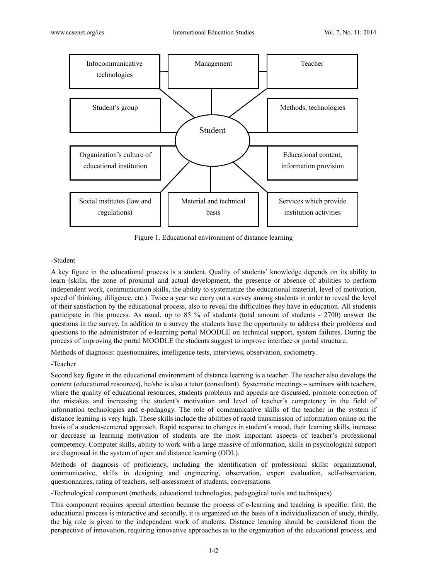

Figure 1. Educational environment of distance learning

## -Student

A key figure in the educational process is a student. Quality of students' knowledge depends on its ability to learn (skills, the zone of proximal and actual development, the presence or absence of abilities to perform independent work, communication skills, the ability to systematize the educational material, level of motivation, speed of thinking, diligence, etc.). Twice a year we carry out a survey among students in order to reveal the level of their satisfaction by the educational process, also to reveal the difficulties they have in education. All students participate in this process. As usual, up to 85 % of students (total amount of students - 2700) answer the questions in the survey. In addition to a survey the students have the opportunity to address their problems and questions to the administrator of e-learning portal MOODLE on technical support, system failures. During the process of improving the portal MOODLE the students suggest to improve interface or portal structure.

Methods of diagnosis: questionnaires, intelligence tests, interviews, observation, sociometry.

## -Teacher

Second key figure in the educational environment of distance learning is a teacher. The teacher also develops the content (educational resources), he/she is also a tutor (consultant). Systematic meetings – seminars with teachers, where the quality of educational resources, students problems and appeals are discussed, promote correction of the mistakes and increasing the student's motivation and level of teacher's competency in the field of information technologies and e-pedagogy. The role of communicative skills of the teacher in the system if distance learning is very high. These skills include the abilities of rapid transmission of information online on the basis of a student-centered approach. Rapid response to changes in student's mood, their learning skills, increase or decrease in learning motivation of students are the most important aspects of teacher's professional competency. Computer skills, ability to work with a large massive of information, skills in psychological support are diagnosed in the system of open and distance learning (ODL).

Methods of diagnosis of proficiency, including the identification of professional skills: organizational, communicative, skills in designing and engineering, observation, expert evaluation, self-observation, questionnaires, rating of teachers, self-assessment of students, conversations.

-Technological component (methods, educational technologies, pedagogical tools and techniques)

This component requires special attention because the process of e-learning and teaching is specific: first, the educational process is interactive and secondly, it is organized on the basis of a individualization of study, thirdly, the big role is given to the independent work of students. Distance learning should be considered from the perspective of innovation, requiring innovative approaches as to the organization of the educational process, and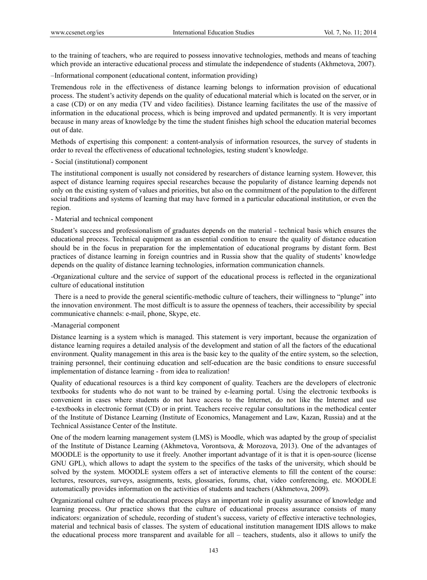to the training of teachers, who are required to possess innovative technologies, methods and means of teaching which provide an interactive educational process and stimulate the independence of students (Akhmetova, 2007).

–Informational component (educational content, information providing)

Tremendous role in the effectiveness of distance learning belongs to information provision of educational process. The student's activity depends on the quality of educational material which is located on the server, or in a case (CD) or on any media (TV and video facilities). Distance learning facilitates the use of the massive of information in the educational process, which is being improved and updated permanently. It is very important because in many areas of knowledge by the time the student finishes high school the education material becomes out of date.

Methods of expertising this component: a content-analysis of information resources, the survey of students in order to reveal the effectiveness of educational technologies, testing student's knowledge.

#### - Social (institutional) component

The institutional component is usually not considered by researchers of distance learning system. However, this aspect of distance learning requires special researches because the popularity of distance learning depends not only on the existing system of values and priorities, but also on the commitment of the population to the different social traditions and systems of learning that may have formed in a particular educational institution, or even the region.

#### - Material and technical component

Student's success and professionalism of graduates depends on the material - technical basis which ensures the educational process. Technical equipment as an essential condition to ensure the quality of distance education should be in the focus in preparation for the implementation of educational programs by distant form. Best practices of distance learning in foreign countries and in Russia show that the quality of students' knowledge depends on the quality of distance learning technologies, information communication channels.

-Organizational culture and the service of support of the educational process is reflected in the organizational culture of educational institution

 There is a need to provide the general scientific-methodic culture of teachers, their willingness to "plunge" into the innovation environment. The most difficult is to assure the openness of teachers, their accessibility by special communicative channels: e-mail, phone, Skype, etc.

#### -Managerial component

Distance learning is a system which is managed. This statement is very important, because the organization of distance learning requires a detailed analysis of the development and station of all the factors of the educational environment. Quality management in this area is the basic key to the quality of the entire system, so the selection, training personnel, their continuing education and self-education are the basic conditions to ensure successful implementation of distance learning - from idea to realization!

Quality of educational resources is a third key component of quality. Teachers are the developers of electronic textbooks for students who do not want to be trained by e-learning portal. Using the electronic textbooks is convenient in cases where students do not have access to the Internet, do not like the Internet and use e-textbooks in electronic format (CD) or in print. Teachers receive regular consultations in the methodical center of the Institute of Distance Learning (Institute of Economics, Management and Law, Kazan, Russia) and at the Technical Assistance Center of the Institute.

One of the modern learning management system (LMS) is Moodle, which was adapted by the group of specialist of the Institute of Distance Learning (Akhmetova, Vorontsova, & Morozova, 2013). One of the advantages of MOODLE is the opportunity to use it freely. Another important advantage of it is that it is open-source (license GNU GPL), which allows to adapt the system to the specifics of the tasks of the university, which should be solved by the system. MOODLE system offers a set of interactive elements to fill the content of the course: lectures, resources, surveys, assignments, tests, glossaries, forums, chat, video conferencing, etc. MOODLE automatically provides information on the activities of students and teachers (Akhmetova, 2009).

Organizational culture of the educational process plays an important role in quality assurance of knowledge and learning process. Our practice shows that the culture of educational process assurance consists of many indicators: organization of schedule, recording of student's success, variety of effective interactive technologies, material and technical basis of classes. The system of educational institution management IDIS allows to make the educational process more transparent and available for all – teachers, students, also it allows to unify the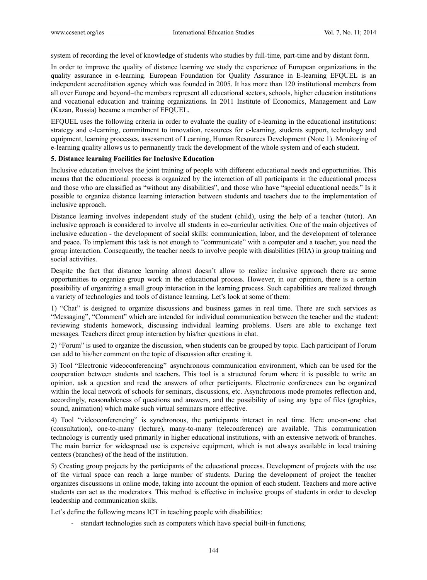system of recording the level of knowledge of students who studies by full-time, part-time and by distant form.

In order to improve the quality of distance learning we study the experience of European organizations in the quality assurance in e-learning. European Foundation for Quality Assurance in E-learning EFQUEL is an independent accreditation agency which was founded in 2005. It has more than 120 institutional members from all over Europe and beyond–the members represent all educational sectors, schools, higher education institutions and vocational education and training organizations. In 2011 Institute of Economics, Management and Law (Kazan, Russia) became a member of EFQUEL.

EFQUEL uses the following criteria in order to evaluate the quality of e-learning in the educational institutions: strategy and e-learning, commitment to innovation, resources for e-learning, students support, technology and equipment, learning processes, assessment of Learning, Human Resources Development (Note 1). Monitoring of e-learning quality allows us to permanently track the development of the whole system and of each student.

## **5. Distance learning Facilities for Inclusive Education**

Inclusive education involves the joint training of people with different educational needs and opportunities. This means that the educational process is organized by the interaction of all participants in the educational process and those who are classified as "without any disabilities", and those who have "special educational needs." Is it possible to organize distance learning interaction between students and teachers due to the implementation of inclusive approach.

Distance learning involves independent study of the student (child), using the help of a teacher (tutor). An inclusive approach is considered to involve all students in co-curricular activities. One of the main objectives of inclusive education - the development of social skills: communication, labor, and the development of tolerance and peace. To implement this task is not enough to "communicate" with a computer and a teacher, you need the group interaction. Consequently, the teacher needs to involve people with disabilities (HIA) in group training and social activities.

Despite the fact that distance learning almost doesn't allow to realize inclusive approach there are some opportunities to organize group work in the educational process. However, in our opinion, there is a certain possibility of organizing a small group interaction in the learning process. Such capabilities are realized through a variety of technologies and tools of distance learning. Let's look at some of them:

1) "Chat" is designed to organize discussions and business games in real time. There are such services as "Messaging", "Comment" which are intended for individual communication between the teacher and the student: reviewing students homework, discussing individual learning problems. Users are able to exchange text messages. Teachers direct group interaction by his/her questions in chat.

2) "Forum" is used to organize the discussion, when students can be grouped by topic. Each participant of Forum can add to his/her comment on the topic of discussion after creating it.

3) Tool "Electronic videoconferencing"–asynchronous communication environment, which can be used for the cooperation between students and teachers. This tool is a structured forum where it is possible to write an opinion, ask a question and read the answers of other participants. Electronic conferences can be organized within the local network of schools for seminars, discussions, etc. Asynchronous mode promotes reflection and, accordingly, reasonableness of questions and answers, and the possibility of using any type of files (graphics, sound, animation) which make such virtual seminars more effective.

4) Tool "videoconferencing" is synchronous, the participants interact in real time. Here one-on-one chat (consultation), one-to-many (lecture), many-to-many (teleconference) are available. This communication technology is currently used primarily in higher educational institutions, with an extensive network of branches. The main barrier for widespread use is expensive equipment, which is not always available in local training centers (branches) of the head of the institution.

5) Creating group projects by the participants of the educational process. Development of projects with the use of the virtual space can reach a large number of students. During the development of project the teacher organizes discussions in online mode, taking into account the opinion of each student. Teachers and more active students can act as the moderators. This method is effective in inclusive groups of students in order to develop leadership and communication skills.

Let's define the following means ICT in teaching people with disabilities:

‐ standart technologies such as computers which have special built-in functions;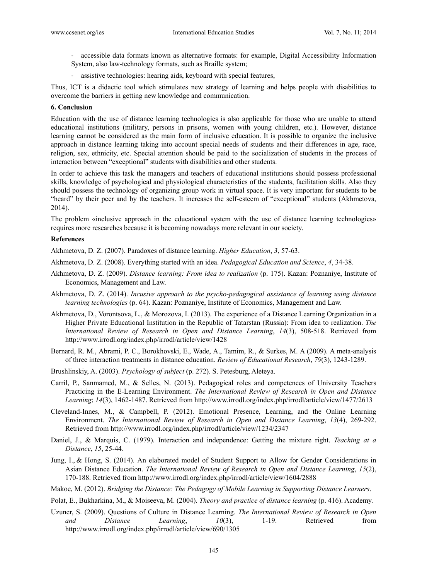- ‐ accessible data formats known as alternative formats: for example, Digital Accessibility Information System, also law-technology formats, such as Braille system;
- ‐ assistive technologies: hearing aids, keyboard with special features,

Thus, ICT is a didactic tool which stimulates new strategy of learning and helps people with disabilities to overcome the barriers in getting new knowledge and communication.

## **6. Conclusion**

Education with the use of distance learning technologies is also applicable for those who are unable to attend educational institutions (military, persons in prisons, women with young children, etc.). However, distance learning cannot be considered as the main form of inclusive education. It is possible to organize the inclusive approach in distance learning taking into account special needs of students and their differences in age, race, religion, sex, ethnicity, etc. Special attention should be paid to the socialization of students in the process of interaction between "exceptional" students with disabilities and other students.

In order to achieve this task the managers and teachers of educational institutions should possess professional skills, knowledge of psychological and physiological characteristics of the students, facilitation skills. Also they should possess the technology of organizing group work in virtual space. It is very important for students to be "heard" by their peer and by the teachers. It increases the self-esteem of "exceptional" students (Akhmetova, 2014).

The problem «inclusive approach in the educational system with the use of distance learning technologies» requires more researches because it is becoming nowadays more relevant in our society.

## **References**

Akhmetova, D. Z. (2007). Paradoxes of distance learning. *Higher Education*, *3*, 57-63.

- Akhmetova, D. Z. (2008). Everything started with an idea. *Pedagogical Education and Science*, *4*, 34-38.
- Akhmetova, D. Z. (2009). *Distance learning: From idea to realization* (p. 175). Kazan: Poznaniye, Institute of Economics, Management and Law.
- Akhmetova, D. Z. (2014). *Incusive approach to the psycho-pedagogical assistance of learning using distance learning technologies* (p. 64). Kazan: Poznaniye, Institute of Economics, Management and Law.
- Akhmetova, D., Vorontsova, L., & Morozova, I. (2013). The experience of a Distance Learning Organization in a Higher Private Educational Institution in the Republic of Tatarstan (Russia): From idea to realization. *The International Review of Research in Open and Distance Learning*, *14*(3), 508-518. Retrieved from http://www.irrodl.org/index.php/irrodl/article/view/1428
- Bernard, R. M., Abrami, P. C., Borokhovski, E., Wade, A., Tamim, R., & Surkes, M. A (2009). A meta-analysis of three interaction treatments in distance education. *Review of Educational Research*, *79*(3), 1243-1289.
- Brushlinskiy, A. (2003). *Psychology of subject* (p. 272). S. Petesburg, Aleteya.
- Carril, P., Sanmamed, M., & Selles, N. (2013). Pedagogical roles and competences of University Teachers Practicing in the E-Learning Environment. *The International Review of Research in Open and Distance Learning*; *14*(3), 1462-1487. Retrieved from http://www.irrodl.org/index.php/irrodl/article/view/1477/2613
- Cleveland-Innes, M., & Campbell, P. (2012). Emotional Presence, Learning, and the Online Learning Environment. *The International Review of Research in Open and Distance Learning*, *13*(4), 269-292. Retrieved from http://www.irrodl.org/index.php/irrodl/article/view/1234/2347
- Daniel, J., & Marquis, C. (1979). Interaction and independence: Getting the mixture right. *Teaching at a Distance*, *15*, 25-44.
- Jung, I., & Hong, S. (2014). An elaborated model of Student Support to Allow for Gender Considerations in Asian Distance Education. *The International Review of Research in Open and Distance Learning*, *15*(2), 170-188. Retrieved from http://www.irrodl.org/index.php/irrodl/article/view/1604/2888
- Makoe, M. (2012). *Bridging the Distance: The Pedagogy of Mobile Learning in Supporting Distance Learners*.
- Polat, E., Bukharkina, M., & Moiseeva, M. (2004). *Theory and practice of distance learning* (p. 416). Academy.
- Uzuner, S. (2009). Questions of Culture in Distance Learning. *The International Review of Research in Open and Distance Learning*, *10*(3), 1-19. Retrieved from http://www.irrodl.org/index.php/irrodl/article/view/690/1305